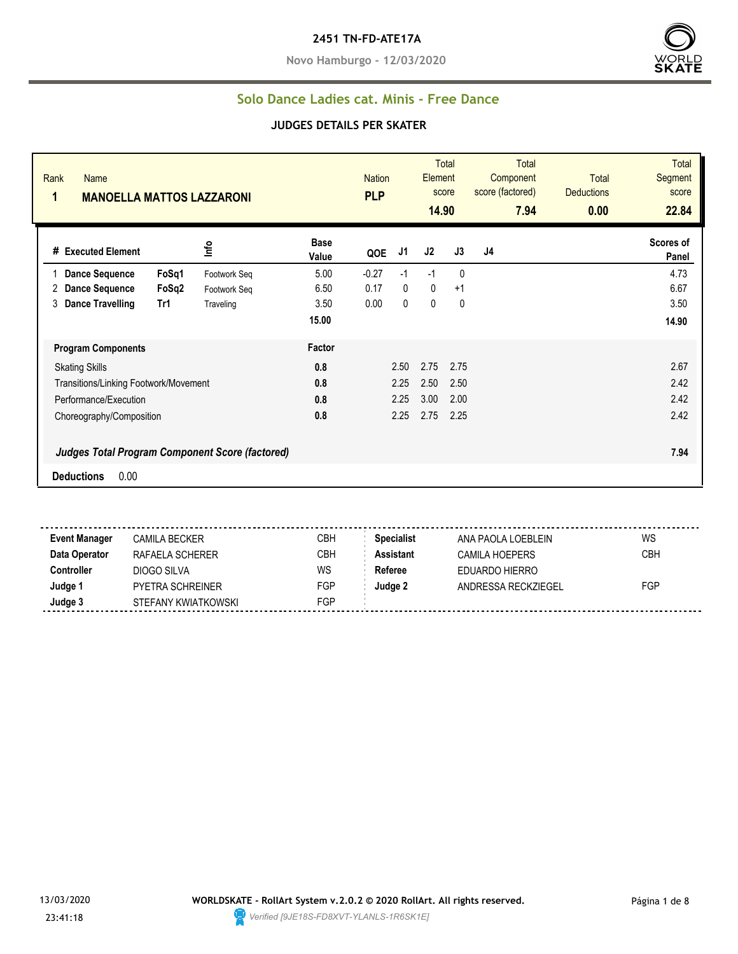#### **2451 TN-FD-ATE17A**

**Novo Hamburgo - 12/03/2020**



#### **Solo Dance Ladies cat. Minis - Free Dance**

#### **JUDGES DETAILS PER SKATER**

| Rank<br><b>Name</b><br>$\mathbf 1$<br><b>MANOELLA MATTOS LAZZARONI</b> |       |              |                      | <b>PLP</b> | Total<br>Element<br><b>Nation</b><br>score<br>14.90 |             |              | <b>Total</b><br>Component<br>score (factored)<br>7.94 | <b>Total</b><br><b>Deductions</b><br>0.00 | <b>Total</b><br>Segment<br>score<br>22.84 |
|------------------------------------------------------------------------|-------|--------------|----------------------|------------|-----------------------------------------------------|-------------|--------------|-------------------------------------------------------|-------------------------------------------|-------------------------------------------|
| <b>Executed Element</b><br>#                                           |       | Info         | <b>Base</b><br>Value | QOE        | J1                                                  | J2          | J3           | J4                                                    |                                           | Scores of<br>Panel                        |
| <b>Dance Sequence</b>                                                  | FoSq1 | Footwork Seq | 5.00                 | $-0.27$    | $-1$                                                | $-1$        | $\mathbf{0}$ |                                                       |                                           | 4.73                                      |
| <b>Dance Sequence</b><br>2                                             | FoSq2 | Footwork Seq | 6.50                 | 0.17       | 0                                                   | $\mathbf 0$ | $+1$         |                                                       |                                           | 6.67                                      |
| 3<br><b>Dance Travelling</b>                                           | Tr1   | Traveling    | 3.50                 | 0.00       | 0                                                   | 0           | 0            |                                                       |                                           | 3.50                                      |
|                                                                        |       |              | 15.00                |            |                                                     |             |              |                                                       |                                           | 14.90                                     |
| <b>Program Components</b>                                              |       |              | Factor               |            |                                                     |             |              |                                                       |                                           |                                           |
| <b>Skating Skills</b>                                                  |       |              | 0.8                  |            | 2.50                                                | 2.75        | 2.75         |                                                       |                                           | 2.67                                      |
| Transitions/Linking Footwork/Movement                                  |       |              | 0.8                  |            | 2.25                                                | 2.50        | 2.50         |                                                       |                                           | 2.42                                      |
| Performance/Execution                                                  |       |              | 0.8                  |            | 2.25                                                | 3.00        | 2.00         |                                                       |                                           | 2.42                                      |
| Choreography/Composition                                               |       |              | 0.8                  |            | 2.25                                                | 2.75        | 2.25         |                                                       |                                           | 2.42                                      |
| <b>Judges Total Program Component Score (factored)</b>                 |       |              |                      |            |                                                     |             |              |                                                       |                                           | 7.94                                      |
| 0.00<br><b>Deductions</b>                                              |       |              |                      |            |                                                     |             |              |                                                       |                                           |                                           |

**Event Manager** CAMILA BECKER CBH CBH Specialist ANA PAOLA LOEBLEIN WS **Data Operator** RAFAELA SCHERER CBH **Assistant** CAMILA HOEPERS CBH **Controller** DIOGO SILVA WS Referee EDUARDO HIERRO **Judge 1** PYETRA SCHREINER FGP **Judge 2** ANDRESSA RECKZIEGEL FGP **Judge 3** STEFANY KWIATKOWSKI FGP

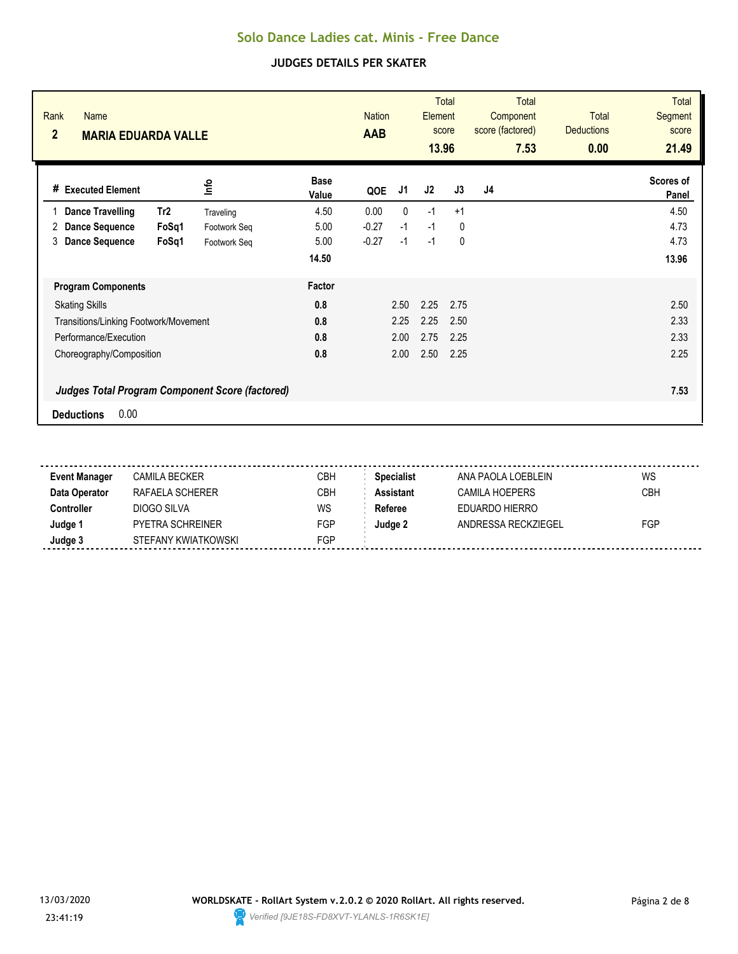| Rank<br><b>Name</b><br>$\overline{2}$<br><b>MARIA EDUARDA VALLE</b> |              | <b>AAB</b>           | <b>Total</b><br><b>Nation</b><br>Element<br>score<br>13.96 |              |      | <b>Total</b><br>Component<br>score (factored)<br>7.53 | <b>Total</b><br><b>Deductions</b><br>0.00 | <b>Total</b><br><b>Segment</b><br>score<br>21.49 |                    |
|---------------------------------------------------------------------|--------------|----------------------|------------------------------------------------------------|--------------|------|-------------------------------------------------------|-------------------------------------------|--------------------------------------------------|--------------------|
| # Executed Element                                                  | lnfo         | <b>Base</b><br>Value | QOE                                                        | J1           | J2   | J3                                                    | J4                                        |                                                  | Scores of<br>Panel |
| Tr <sub>2</sub><br><b>Dance Travelling</b>                          | Traveling    | 4.50                 | 0.00                                                       | $\mathbf{0}$ | $-1$ | $+1$                                                  |                                           |                                                  | 4.50               |
| <b>Dance Sequence</b><br>FoSq1<br>2                                 | Footwork Seq | 5.00                 | $-0.27$                                                    | $-1$         | $-1$ | 0                                                     |                                           |                                                  | 4.73               |
| <b>Dance Sequence</b><br>FoSq1<br>3                                 | Footwork Seg | 5.00                 | $-0.27$                                                    | $-1$         | $-1$ | 0                                                     |                                           |                                                  | 4.73               |
|                                                                     |              | 14.50                |                                                            |              |      |                                                       |                                           |                                                  | 13.96              |
| <b>Program Components</b>                                           |              | Factor               |                                                            |              |      |                                                       |                                           |                                                  |                    |
| <b>Skating Skills</b>                                               |              | 0.8                  |                                                            | 2.50         | 2.25 | 2.75                                                  |                                           |                                                  | 2.50               |
| Transitions/Linking Footwork/Movement                               |              | 0.8                  |                                                            | 2.25         | 2.25 | 2.50                                                  |                                           |                                                  | 2.33               |
| Performance/Execution                                               |              | 0.8                  |                                                            | 2.00         | 2.75 | 2.25                                                  |                                           |                                                  | 2.33               |
| Choreography/Composition                                            |              | 0.8                  |                                                            | 2.00         | 2.50 | 2.25                                                  |                                           |                                                  | 2.25               |
| <b>Judges Total Program Component Score (factored)</b>              |              |                      |                                                            |              |      |                                                       |                                           |                                                  | 7.53               |
| 0.00<br><b>Deductions</b>                                           |              |                      |                                                            |              |      |                                                       |                                           |                                                  |                    |

| Event Manager | <b>CAMILA BECKER</b>    | CBH        | <b>Specialist</b> | ANA PAOLA LOEBLFIN  | WS         |
|---------------|-------------------------|------------|-------------------|---------------------|------------|
| Data Operator | RAFAELA SCHERER         | <b>CBH</b> | <b>Assistant</b>  | CAMILA HOFPFRS      | <b>CBH</b> |
| Controller    | DIOGO SILVA             | WS         | Referee           | EDUARDO HIERRO      |            |
| Judge 1       | <b>PYETRA SCHREINER</b> | FGP        | Judge 2           | ANDRESSA RECKZIEGEL | FGP        |
| Judge 3       | STEFANY KWIATKOWSKI     | FGP        |                   |                     |            |
|               |                         |            |                   |                     |            |

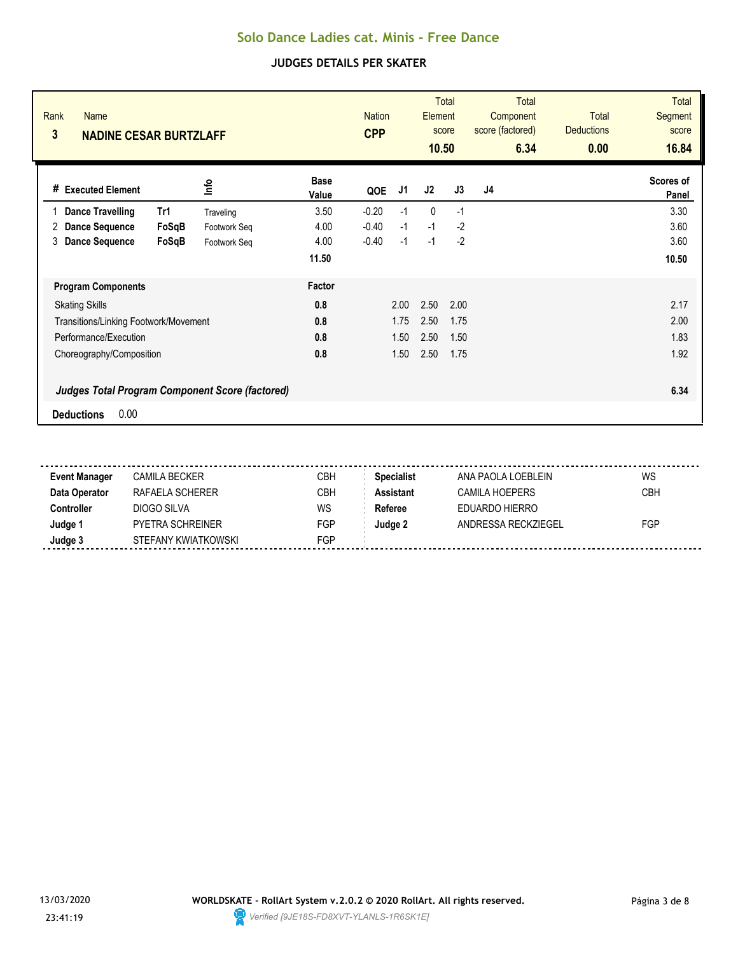| Rank<br><b>Name</b><br>3<br><b>NADINE CESAR BURTZLAFF</b> |              |                      | <b>Nation</b><br><b>CPP</b> | <b>Total</b><br>Element<br>score<br>10.50 |      |      | Total<br>Component<br>score (factored)<br>6.34 | <b>Total</b><br><b>Deductions</b><br>0.00 | <b>Total</b><br><b>Segment</b><br>score<br>16.84 |
|-----------------------------------------------------------|--------------|----------------------|-----------------------------|-------------------------------------------|------|------|------------------------------------------------|-------------------------------------------|--------------------------------------------------|
| <b>Executed Element</b><br>#                              | lnfo         | <b>Base</b><br>Value | QOE                         | J1                                        | J2   | J3   | J <sub>4</sub>                                 |                                           | Scores of<br>Panel                               |
| <b>Dance Travelling</b><br>Tr1                            | Traveling    | 3.50                 | $-0.20$                     | $-1$                                      | 0    | $-1$ |                                                |                                           | 3.30                                             |
| FoSqB<br><b>Dance Sequence</b><br>2                       | Footwork Seq | 4.00                 | $-0.40$                     | $-1$                                      | $-1$ | $-2$ |                                                |                                           | 3.60                                             |
| <b>Dance Sequence</b><br>3<br>FoSqB                       | Footwork Seq | 4.00                 | $-0.40$                     | $-1$                                      | $-1$ | $-2$ |                                                |                                           | 3.60                                             |
|                                                           |              | 11.50                |                             |                                           |      |      |                                                |                                           | 10.50                                            |
| <b>Program Components</b>                                 |              | Factor               |                             |                                           |      |      |                                                |                                           |                                                  |
| <b>Skating Skills</b>                                     |              | 0.8                  |                             | 2.00                                      | 2.50 | 2.00 |                                                |                                           | 2.17                                             |
| Transitions/Linking Footwork/Movement                     |              | 0.8                  |                             | 1.75                                      | 2.50 | 1.75 |                                                |                                           | 2.00                                             |
| Performance/Execution                                     |              | 0.8                  |                             | 1.50                                      | 2.50 | 1.50 |                                                |                                           | 1.83                                             |
| Choreography/Composition                                  |              | 0.8                  |                             | 1.50                                      | 2.50 | 1.75 |                                                |                                           | 1.92                                             |
| <b>Judges Total Program Component Score (factored)</b>    |              |                      |                             |                                           |      |      |                                                |                                           | 6.34                                             |
| 0.00<br><b>Deductions</b>                                 |              |                      |                             |                                           |      |      |                                                |                                           |                                                  |

| <b>Event Manager</b> | CAMILA BECKER           | CBH | <b>Specialist</b> | ANA PAOLA LOEBLEIN    | WS         |
|----------------------|-------------------------|-----|-------------------|-----------------------|------------|
| Data Operator        | RAFAFI A SCHFRFR        | СВН | <b>Assistant</b>  | CAMILA HOFPERS        | <b>CBH</b> |
| Controller           | DIOGO SILVA             | WS  | Referee           | <b>FDUARDO HIFRRO</b> |            |
| Judge 1              | <b>PYETRA SCHREINER</b> | FGP | Judge 2           | ANDRESSA RECKZIEGEL   | FGP        |
| Judge 3              | STEFANY KWIATKOWSKI     | FGP |                   |                       |            |
|                      |                         |     |                   |                       |            |

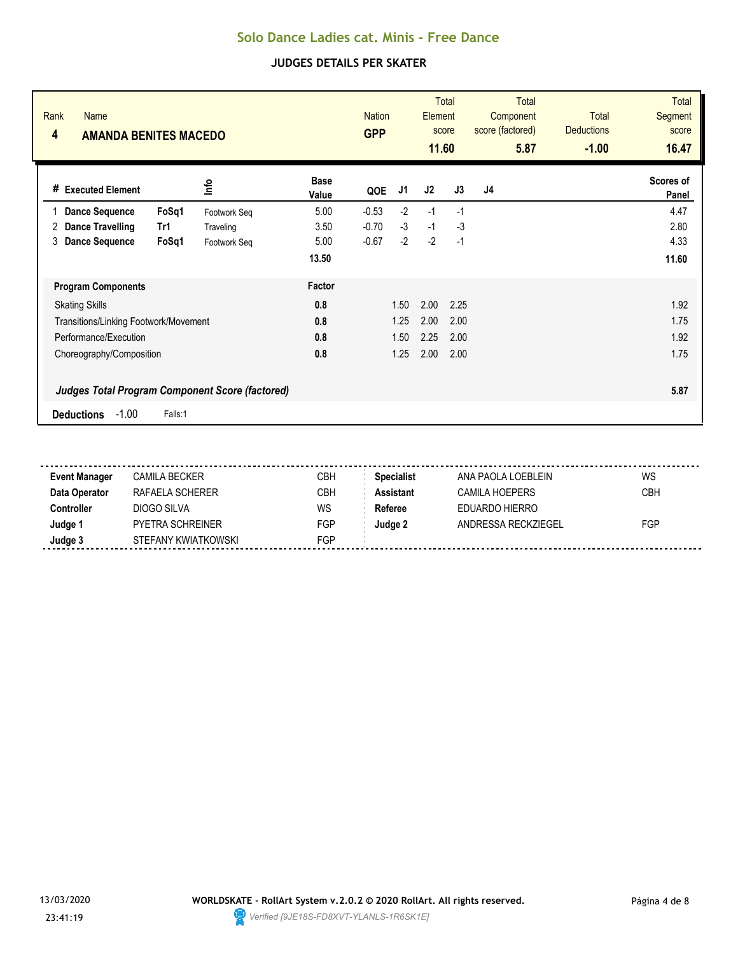| Rank<br><b>Name</b><br>4<br><b>AMANDA BENITES MACEDO</b> |              | <b>Nation</b><br><b>GPP</b> |         | <b>Total</b><br>Element<br>score<br>11.60 |      | Total<br>Component<br>score (factored)<br>5.87 | <b>Total</b><br><b>Deductions</b><br>$-1.00$ | <b>Total</b><br><b>Segment</b><br>score<br>16.47 |                    |
|----------------------------------------------------------|--------------|-----------------------------|---------|-------------------------------------------|------|------------------------------------------------|----------------------------------------------|--------------------------------------------------|--------------------|
| <b>Executed Element</b><br>#                             | lnfo         | <b>Base</b><br>Value        | QOE     | J1                                        | J2   | J3                                             | J <sub>4</sub>                               |                                                  | Scores of<br>Panel |
| <b>Dance Sequence</b><br>FoSq1                           | Footwork Seq | 5.00                        | $-0.53$ | $-2$                                      | $-1$ | $-1$                                           |                                              |                                                  | 4.47               |
| <b>Dance Travelling</b><br>Tr1<br>2                      | Traveling    | 3.50                        | $-0.70$ | $-3$                                      | $-1$ | $-3$                                           |                                              |                                                  | 2.80               |
| <b>Dance Sequence</b><br>FoSq1<br>3                      | Footwork Seq | 5.00                        | $-0.67$ | $-2$                                      | $-2$ | $-1$                                           |                                              |                                                  | 4.33               |
|                                                          |              | 13.50                       |         |                                           |      |                                                |                                              |                                                  | 11.60              |
| <b>Program Components</b>                                |              | Factor                      |         |                                           |      |                                                |                                              |                                                  |                    |
| <b>Skating Skills</b>                                    |              | 0.8                         |         | 1.50                                      | 2.00 | 2.25                                           |                                              |                                                  | 1.92               |
| Transitions/Linking Footwork/Movement                    |              | 0.8                         |         | 1.25                                      | 2.00 | 2.00                                           |                                              |                                                  | 1.75               |
| Performance/Execution                                    |              | 0.8                         |         | 1.50                                      | 2.25 | 2.00                                           |                                              |                                                  | 1.92               |
| Choreography/Composition                                 |              | 0.8                         |         | 1.25                                      | 2.00 | 2.00                                           |                                              |                                                  | 1.75               |
| <b>Judges Total Program Component Score (factored)</b>   |              |                             |         |                                           |      |                                                |                                              |                                                  | 5.87               |
| $-1.00$<br><b>Deductions</b><br>Falls:1                  |              |                             |         |                                           |      |                                                |                                              |                                                  |                    |

| <b>Event Manager</b> | CAMILA BECKER           | CBH | <b>Specialist</b> | ANA PAOLA LOEBLEIN    | WS         |
|----------------------|-------------------------|-----|-------------------|-----------------------|------------|
| Data Operator        | RAFAFI A SCHFRFR        | СВН | <b>Assistant</b>  | CAMILA HOFPERS        | <b>CBH</b> |
| Controller           | DIOGO SILVA             | WS  | Referee           | <b>FDUARDO HIFRRO</b> |            |
| Judge 1              | <b>PYETRA SCHREINER</b> | FGP | Judge 2           | ANDRESSA RECKZIEGEL   | FGP        |
| Judge 3              | STEFANY KWIATKOWSKI     | FGP |                   |                       |            |
|                      |                         |     |                   |                       |            |

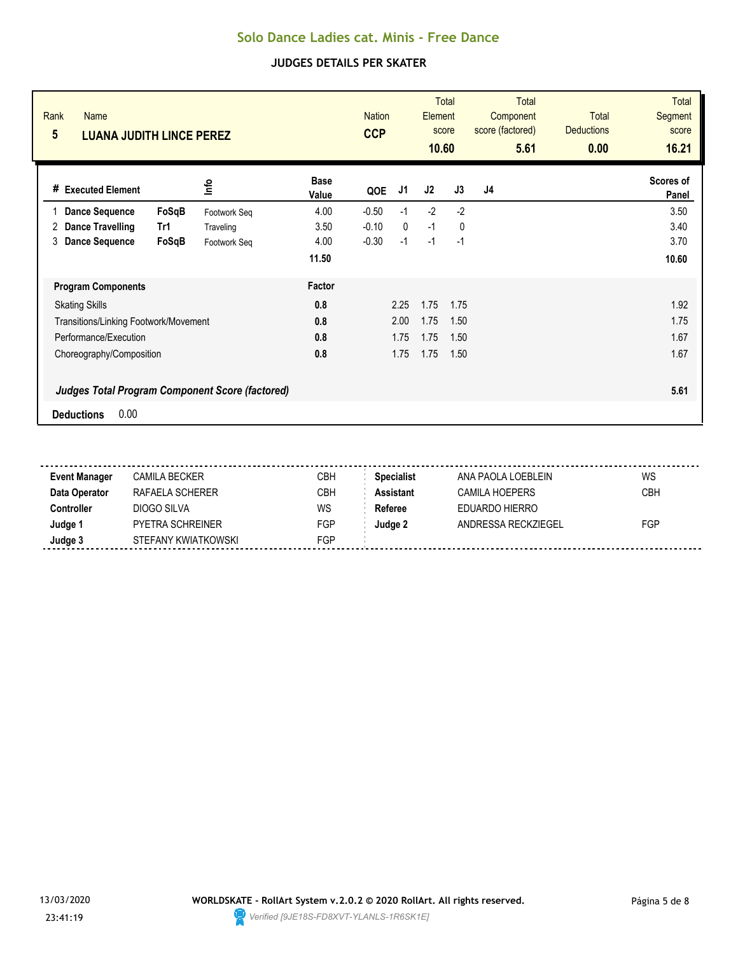| Rank<br><b>Name</b><br>5<br><b>LUANA JUDITH LINCE PEREZ</b> |              |                      |         | <b>Total</b><br><b>Nation</b><br><b>Element</b><br>score<br><b>CCP</b><br>10.60 |      |              | <b>Total</b><br>Component<br>score (factored)<br>5.61 | <b>Total</b><br><b>Deductions</b><br>0.00 | Total<br><b>Segment</b><br>score<br>16.21 |
|-------------------------------------------------------------|--------------|----------------------|---------|---------------------------------------------------------------------------------|------|--------------|-------------------------------------------------------|-------------------------------------------|-------------------------------------------|
| <b>Executed Element</b><br>#                                | lnfo         | <b>Base</b><br>Value | QOE     | J1                                                                              | J2   | J3           | J <sub>4</sub>                                        |                                           | Scores of<br>Panel                        |
| FoSqB<br><b>Dance Sequence</b>                              | Footwork Seq | 4.00                 | $-0.50$ | $-1$                                                                            | $-2$ | $-2$         |                                                       |                                           | 3.50                                      |
| <b>Dance Travelling</b><br>Tr1<br>2                         | Traveling    | 3.50                 | $-0.10$ | $\mathbf{0}$                                                                    | $-1$ | $\mathbf{0}$ |                                                       |                                           | 3.40                                      |
| 3<br><b>Dance Sequence</b><br>FoSqB                         | Footwork Seq | 4.00                 | $-0.30$ | $-1$                                                                            | $-1$ | $-1$         |                                                       |                                           | 3.70                                      |
|                                                             |              | 11.50                |         |                                                                                 |      |              |                                                       |                                           | 10.60                                     |
| <b>Program Components</b>                                   |              | Factor               |         |                                                                                 |      |              |                                                       |                                           |                                           |
| <b>Skating Skills</b>                                       |              | 0.8                  |         | 2.25                                                                            | 1.75 | 1.75         |                                                       |                                           | 1.92                                      |
| Transitions/Linking Footwork/Movement                       |              | 0.8                  |         | 2.00                                                                            | 1.75 | 1.50         |                                                       |                                           | 1.75                                      |
| Performance/Execution                                       |              | 0.8                  |         | 1.75                                                                            | 1.75 | 1.50         |                                                       |                                           | 1.67                                      |
| Choreography/Composition                                    |              | 0.8                  |         | 1.75                                                                            | 1.75 | 1.50         |                                                       |                                           | 1.67                                      |
| <b>Judges Total Program Component Score (factored)</b>      |              |                      |         |                                                                                 |      |              |                                                       |                                           | 5.61                                      |
| 0.00<br><b>Deductions</b>                                   |              |                      |         |                                                                                 |      |              |                                                       |                                           |                                           |

| <b>Event Manager</b> | CAMILA BECKER       | CBH | <b>Specialist</b> | ANA PAOLA LOEBLEIN  | WS         |
|----------------------|---------------------|-----|-------------------|---------------------|------------|
| Data Operator        | RAFAFI A SCHFRFR    | CBH | <b>Assistant</b>  | CAMILA HOEPERS      | <b>CBH</b> |
| Controller           | DIOGO SILVA         | WS  | Referee           | EDUARDO HIERRO      |            |
| Judge 1              | PYFTRA SCHRFINFR    | FGP | Judge 2           | ANDRESSA RECKZIEGEL | FGP        |
| Judge 3              | STEFANY KWIATKOWSKI | FGP |                   |                     |            |
|                      |                     |     |                   |                     |            |

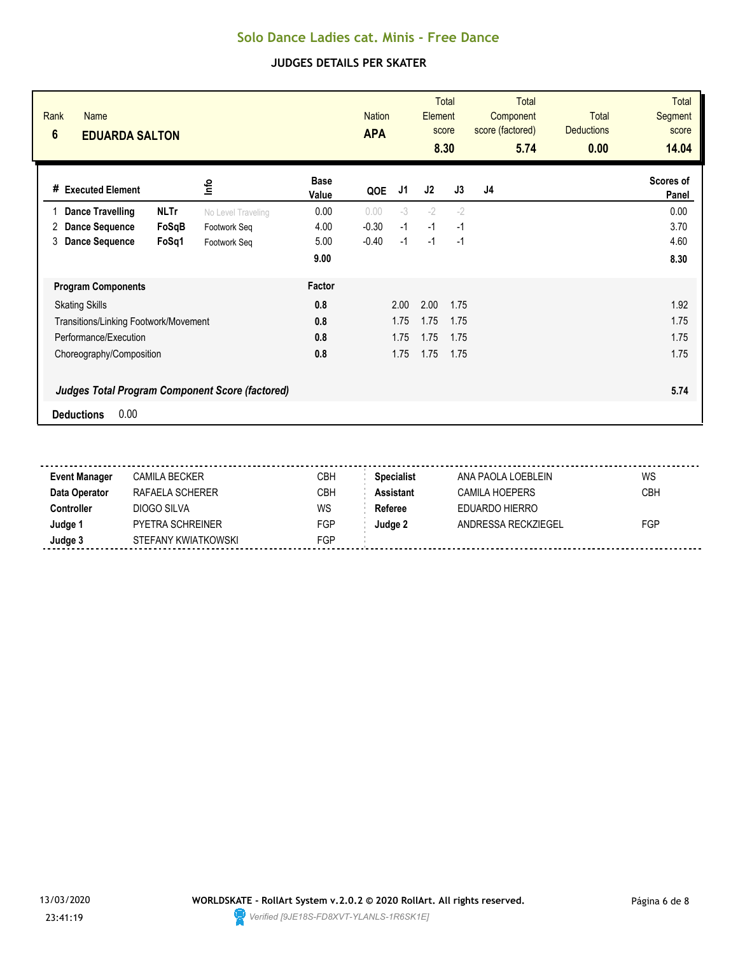| Rank<br><b>Name</b><br>$6\phantom{1}$<br><b>EDUARDA SALTON</b> |             |                    |                      | <b>Nation</b><br><b>APA</b> |      | Element | <b>Total</b><br>score<br>8.30 | <b>Total</b><br>Component<br>score (factored)<br>5.74 | Total<br><b>Deductions</b><br>0.00 | <b>Total</b><br>Segment<br>score<br>14.04 |
|----------------------------------------------------------------|-------------|--------------------|----------------------|-----------------------------|------|---------|-------------------------------|-------------------------------------------------------|------------------------------------|-------------------------------------------|
| # Executed Element                                             |             | ۴ů                 | <b>Base</b><br>Value | QOE                         | J1   | J2      | J3                            | J <sub>4</sub>                                        |                                    | Scores of<br>Panel                        |
| <b>Dance Travelling</b>                                        | <b>NLTr</b> | No Level Traveling | 0.00                 | 0.00                        | $-3$ | $-2$    | $-2$                          |                                                       |                                    | 0.00                                      |
| <b>Dance Sequence</b><br>2                                     | FoSqB       | Footwork Seq       | 4.00                 | $-0.30$                     | $-1$ | $-1$    | $-1$                          |                                                       |                                    | 3.70                                      |
| <b>Dance Sequence</b><br>3                                     | FoSq1       | Footwork Seq       | 5.00                 | $-0.40$                     | $-1$ | $-1$    | $-1$                          |                                                       |                                    | 4.60                                      |
|                                                                |             |                    | 9.00                 |                             |      |         |                               |                                                       |                                    | 8.30                                      |
| <b>Program Components</b>                                      |             |                    | Factor               |                             |      |         |                               |                                                       |                                    |                                           |
| <b>Skating Skills</b>                                          |             |                    | 0.8                  |                             | 2.00 | 2.00    | 1.75                          |                                                       |                                    | 1.92                                      |
| Transitions/Linking Footwork/Movement                          |             |                    | 0.8                  |                             | 1.75 | 1.75    | 1.75                          |                                                       |                                    | 1.75                                      |
| Performance/Execution                                          |             |                    | 0.8                  |                             | 1.75 | 1.75    | 1.75                          |                                                       |                                    | 1.75                                      |
| Choreography/Composition                                       |             |                    | 0.8                  |                             | 1.75 | 1.75    | 1.75                          |                                                       |                                    | 1.75                                      |
| <b>Judges Total Program Component Score (factored)</b>         |             |                    |                      |                             |      |         |                               |                                                       |                                    | 5.74                                      |
| 0.00<br><b>Deductions</b>                                      |             |                    |                      |                             |      |         |                               |                                                       |                                    |                                           |

| <b>Event Manager</b> | CAMILA BECKER       | CBH | <b>Specialist</b> | ANA PAOLA LOEBLEIN  | WS         |
|----------------------|---------------------|-----|-------------------|---------------------|------------|
| Data Operator        | RAFAFI A SCHFRFR    | CBH | <b>Assistant</b>  | CAMILA HOFPERS      | <b>CBH</b> |
| Controller           | DIOGO SILVA         | WS  | Referee           | EDUARDO HIERRO      |            |
| Judge 1              | PYETRA SCHREINER    | FGP | Judge 2           | ANDRESSA RECKZIEGEL | FGP        |
| Judge 3              | STEFANY KWIATKOWSKI | FGP |                   |                     |            |
|                      |                     |     |                   |                     |            |

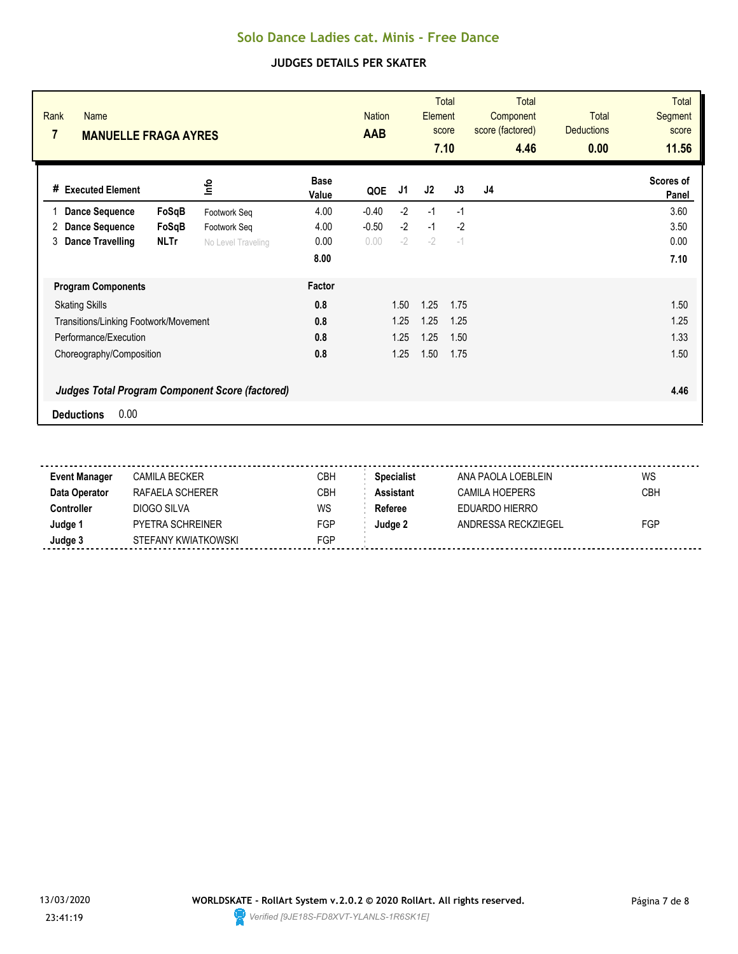| Rank<br><b>Name</b><br>7<br><b>MANUELLE FRAGA AYRES</b> |             |                    |                      | <b>Nation</b><br><b>AAB</b> |      | <b>Total</b><br>Element<br>score<br>7.10 |      | <b>Total</b><br>Component<br>score (factored)<br>4.46 | <b>Total</b><br><b>Deductions</b><br>0.00 | <b>Total</b><br>Segment<br>score<br>11.56 |
|---------------------------------------------------------|-------------|--------------------|----------------------|-----------------------------|------|------------------------------------------|------|-------------------------------------------------------|-------------------------------------------|-------------------------------------------|
| <b>Executed Element</b><br>#                            |             | lnfo               | <b>Base</b><br>Value | QOE                         | J1   | J2                                       | J3   | J4                                                    |                                           | Scores of<br>Panel                        |
| <b>Dance Sequence</b>                                   | FoSqB       | Footwork Seq       | 4.00                 | $-0.40$                     | $-2$ | $-1$                                     | $-1$ |                                                       |                                           | 3.60                                      |
| <b>Dance Sequence</b><br>2                              | FoSqB       | Footwork Seq       | 4.00                 | $-0.50$                     | $-2$ | $-1$                                     | $-2$ |                                                       |                                           | 3.50                                      |
| <b>Dance Travelling</b><br>3                            | <b>NLTr</b> | No Level Traveling | 0.00                 | 0.00                        | $-2$ | $-2$                                     | $-1$ |                                                       |                                           | 0.00                                      |
|                                                         |             |                    | 8.00                 |                             |      |                                          |      |                                                       |                                           | 7.10                                      |
| <b>Program Components</b>                               |             |                    | Factor               |                             |      |                                          |      |                                                       |                                           |                                           |
| <b>Skating Skills</b>                                   |             |                    | 0.8                  |                             | 1.50 | 1.25                                     | 1.75 |                                                       |                                           | 1.50                                      |
| Transitions/Linking Footwork/Movement                   |             |                    | 0.8                  |                             | 1.25 | 1.25                                     | 1.25 |                                                       |                                           | 1.25                                      |
| Performance/Execution                                   |             |                    | 0.8                  |                             | 1.25 | 1.25                                     | 1.50 |                                                       |                                           | 1.33                                      |
| Choreography/Composition                                |             |                    | 0.8                  |                             | 1.25 | 1.50                                     | 1.75 |                                                       |                                           | 1.50                                      |
| <b>Judges Total Program Component Score (factored)</b>  |             |                    |                      |                             |      |                                          |      |                                                       |                                           | 4.46                                      |
| 0.00<br><b>Deductions</b>                               |             |                    |                      |                             |      |                                          |      |                                                       |                                           |                                           |

| <b>Event Manager</b> | CAMILA BECKER       | CBH | <b>Specialist</b> | ANA PAOLA LOEBLEIN  | WS         |
|----------------------|---------------------|-----|-------------------|---------------------|------------|
| Data Operator        | RAFAFI A SCHFRFR    | CBH | <b>Assistant</b>  | CAMILA HOEPERS      | <b>CBH</b> |
| Controller           | DIOGO SILVA         | WS  | Referee           | EDUARDO HIERRO      |            |
| Judge 1              | PYFTRA SCHRFINFR    | FGP | Judge 2           | ANDRESSA RECKZIEGEL | FGP        |
| Judge 3              | STEFANY KWIATKOWSKI | FGP |                   |                     |            |
|                      |                     |     |                   |                     |            |